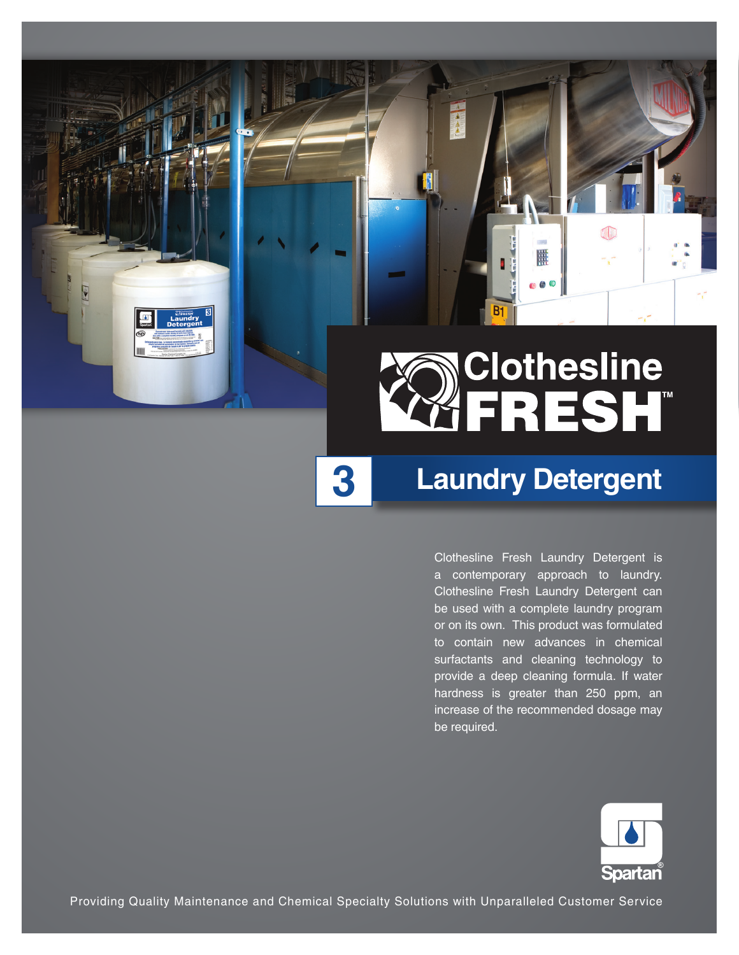

B.

 $\begin{array}{c}\n\blacktriangle \\
\triangle \\
\triangle\n\end{array}$ 

 **3**

# **Laundry Detergent**

4D

Clothesline Fresh Laundry Detergent is a contemporary approach to laundry. Clothesline Fresh Laundry Detergent can be used with a complete laundry program or on its own. This product was formulated to contain new advances in chemical surfactants and cleaning technology to provide a deep cleaning formula. If water hardness is greater than 250 ppm, an increase of the recommended dosage may be required.



Providing Quality Maintenance and Chemical Specialty Solutions with Unparalleled Customer Service